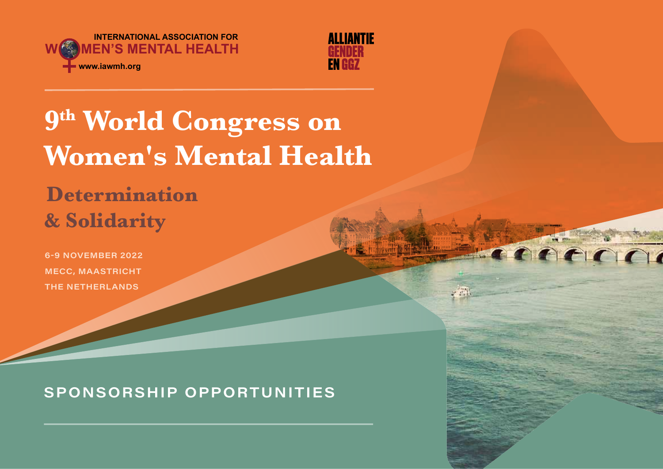



ment

# **9th World Congress on Women's Mental Health**

## **Determination & Solidarity**

6-9 NOVEMBER 2022 MECC, MAASTRICHT THE NETHERLANDS

## SPONSORSHIP OPPORTUNITIES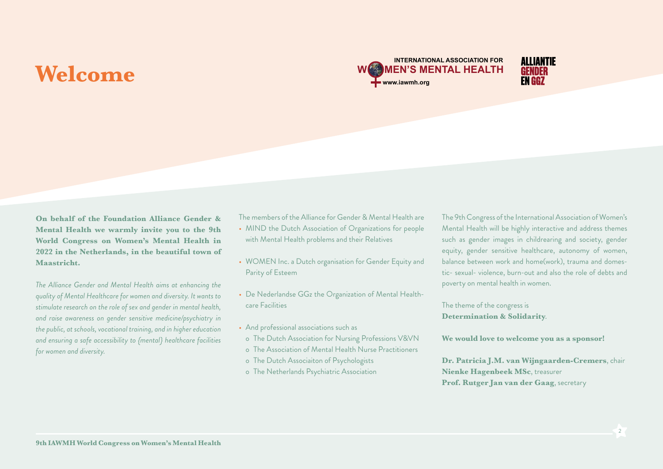## **Welcome**





*The Alliance Gender and Mental Health aims at enhancing the quality of Mental Healthcare for women and diversity. It wants to stimulate research on the role of sex and gender in mental health, and raise awareness on gender sensitive medicine/psychiatry in the public, at schools, vocational training, and in higher education and ensuring a safe accessibility to {mental} healthcare facilities for women and diversity.*

The members of the Alliance for Gender & Mental Health are

- MIND the Dutch Association of Organizations for people with Mental Health problems and their Relatives
- WOMEN Inc. a Dutch organisation for Gender Equity and Parity of Esteem
- De Nederlandse GGz the Organization of Mental Healthcare Facilities
- And professional associations such as
- o The Dutch Association for Nursing Professions V&VN
- o The Association of Mental Health Nurse Practitioners
- o The Dutch Associaiton of Psychologists
- o The Netherlands Psychiatric Association

The 9th Congress of the International Association of Women's Mental Health will be highly interactive and address themes such as gender images in childrearing and society, gender equity, gender sensitive healthcare, autonomy of women, balance between work and home(work), trauma and domestic- sexual- violence, burn-out and also the role of debts and poverty on mental health in women.

The theme of the congress is **Determination & Solidarity**.

**We would love to welcome you as a sponsor!**

**Dr. Patricia J.M. van Wijngaarden-Cremers**, chair **Nienke Hagenbeek MSc**, treasurer **Prof. Rutger Jan van der Gaag**, secretary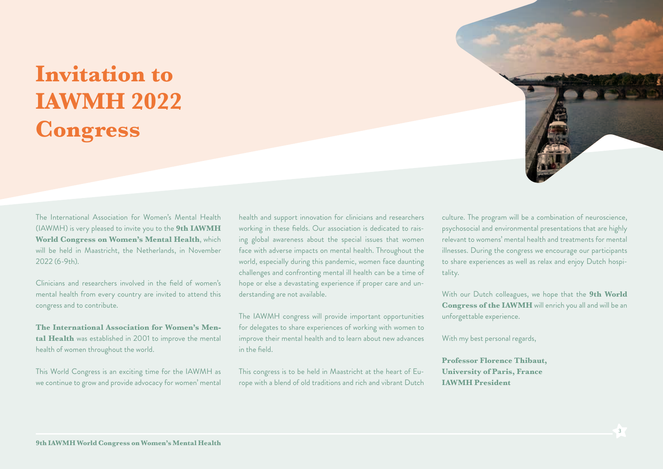## **Invitation to IAWMH 2022 Congress**

The International Association for Women's Mental Health (IAWMH) is very pleased to invite you to the **9th IAWMH World Congress on Women's Mental Health**, which will be held in Maastricht, the Netherlands, in November 2022 (6-9th).

Clinicians and researchers involved in the field of women's mental health from every country are invited to attend this congress and to contribute.

**The International Association for Women's Mental Health** was established in 2001 to improve the mental health of women throughout the world.

This World Congress is an exciting time for the IAWMH as we continue to grow and provide advocacy for women' mental

health and support innovation for clinicians and researchers working in these fields. Our association is dedicated to raising global awareness about the special issues that women face with adverse impacts on mental health. Throughout the world, especially during this pandemic, women face daunting challenges and confronting mental ill health can be a time of hope or else a devastating experience if proper care and understanding are not available.

The IAWMH congress will provide important opportunities for delegates to share experiences of working with women to improve their mental health and to learn about new advances in the field.

This congress is to be held in Maastricht at the heart of Europe with a blend of old traditions and rich and vibrant Dutch

culture. The program will be a combination of neuroscience, psychosocial and environmental presentations that are highly relevant to womens' mental health and treatments for mental illnesses. During the congress we encourage our participants to share experiences as well as relax and enjoy Dutch hospitality.

With our Dutch colleagues, we hope that the **9th World Congress of the IAWMH** will enrich you all and will be an unforgettable experience.

With my best personal regards,

**Professor Florence Thibaut, University of Paris, France IAWMH President**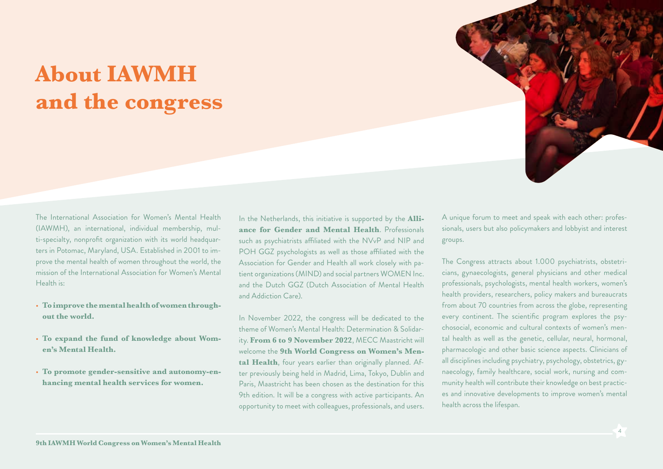## **About IAWMH and the congress**



- **To improve the mental health of women throughout the world.**
- **To expand the fund of knowledge about Women's Mental Health.**
- **To promote gender-sensitive and autonomy-enhancing mental health services for women.**

In the Netherlands, this initiative is supported by the **Alliance for Gender and Mental Health**. Professionals such as psychiatrists affiliated with the NVvP and NIP and POH GGZ psychologists as well as those affiliated with the Association for Gender and Health all work closely with patient organizations (MIND) and social partners WOMEN Inc. and the Dutch GGZ (Dutch Association of Mental Health and Addiction Care).

In November 2022, the congress will be dedicated to the theme of Women's Mental Health: Determination & Solidarity. **From 6 to 9 November 2022**, MECC Maastricht will welcome the **9th World Congress on Women's Mental Health**, four years earlier than originally planned. After previously being held in Madrid, Lima, Tokyo, Dublin and Paris, Maastricht has been chosen as the destination for this 9th edition. It will be a congress with active participants. An opportunity to meet with colleagues, professionals, and users.

A unique forum to meet and speak with each other: professionals, users but also policymakers and lobbyist and interest groups.

The Congress attracts about 1.000 psychiatrists, obstetricians, gynaecologists, general physicians and other medical professionals, psychologists, mental health workers, women's health providers, researchers, policy makers and bureaucrats from about 70 countries from across the globe, representing every continent. The scientific program explores the psychosocial, economic and cultural contexts of women's mental health as well as the genetic, cellular, neural, hormonal, pharmacologic and other basic science aspects. Clinicians of all disciplines including psychiatry, psychology, obstetrics, gynaecology, family healthcare, social work, nursing and community health will contribute their knowledge on best practices and innovative developments to improve women's mental health across the lifespan.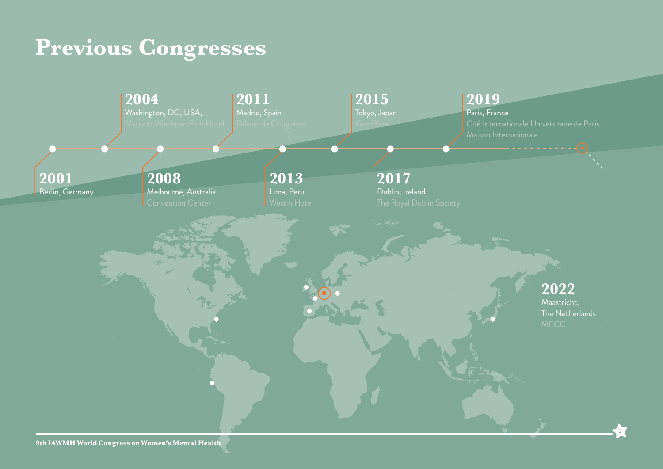## **Previous Congresses**



5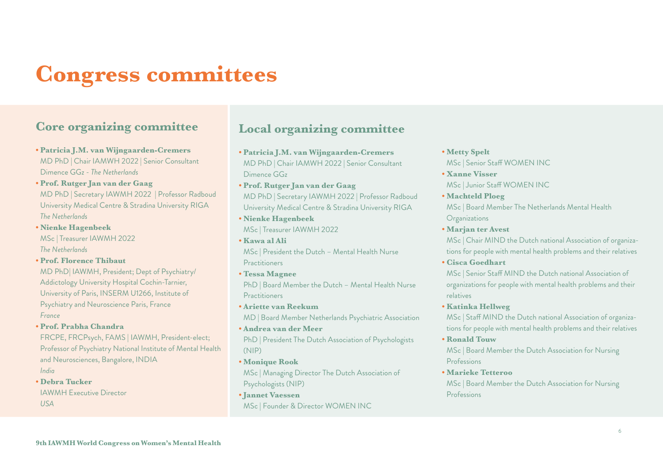## **Congress committees**

## **Core organizing committee**

- **Patricia J.M. van Wijngaarden-Cremers** MD PhD | Chair IAMWH 2022 | Senior Consultant Dimence GGz - *The Netherlands*
- **Prof. Rutger Jan van der Gaag** MD PhD | Secretary IAWMH 2022 | Professor Radboud University Medical Centre & Stradina University RIGA *The Netherlands*
- **Nienke Hagenbeek** MSc | Treasurer IAWMH 2022 *The Netherlands*
- **Prof. Florence Thibaut**

MD PhD| IAWMH, President; Dept of Psychiatry/ Addictology University Hospital Cochin-Tarnier, University of Paris, INSERM U1266, Institute of Psychiatry and Neuroscience Paris, France *France*

**• Prof. Prabha Chandra**

FRCPE, FRCPsych, FAMS | IAWMH, President-elect; Professor of Psychiatry National Institute of Mental Health and Neurosciences, Bangalore, INDIA *India*

**• Debra Tucker** IAWMH Executive Director

*USA*

## **Local organizing committee**

- **Patricia J.M. van Wijngaarden-Cremers**  MD PhD | Chair IAMWH 2022 | Senior Consultant Dimence GGz
- **Prof. Rutger Jan van der Gaag** MD PhD | Secretary IAWMH 2022 | Professor Radboud University Medical Centre & Stradina University RIGA
- **Nienke Hagenbeek** MSc | Treasurer IAWMH 2022
- **Kawa al Ali** MSc | President the Dutch – Mental Health Nurse **Practitioners**
- **Tessa Magnee**

PhD | Board Member the Dutch – Mental Health Nurse **Practitioners** 

- **Ariette van Reekum** MD | Board Member Netherlands Psychiatric Association **• Andrea van der Meer**
- PhD | President The Dutch Association of Psychologists (NIP)
- **Monique Rook**

MSc | Managing Director The Dutch Association of Psychologists (NIP)

**• Jannet Vaessen**  MSc | Founder & Director WOMEN INC

## **• Metty Spelt**

- MSc | Senior Staff WOMEN INC
- **Xanne Visser** MSc | Junior Staff WOMEN INC
- **Machteld Ploeg**

MSc | Board Member The Netherlands Mental Health Organizations

**• Marjan ter Avest**

MSc | Chair MIND the Dutch national Association of organizations for people with mental health problems and their relatives

**• Cisca Goedhart**

MSc | Senior Staff MIND the Dutch national Association of organizations for people with mental health problems and their relatives

**• Katinka Hellweg**

MSc | Staff MIND the Dutch national Association of organizations for people with mental health problems and their relatives

**• Ronald Touw**

MSc | Board Member the Dutch Association for Nursing Professions

**• Marieke Tetteroo**

MSc | Board Member the Dutch Association for Nursing Professions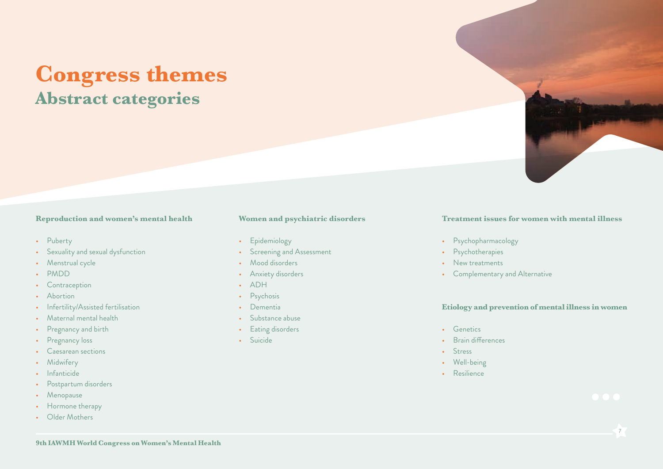## **Congress themes Abstract categories**

### **Reproduction and women's mental health**

- Puberty
- Sexuality and sexual dysfunction
- Menstrual cycle
- PMDD
- Contraception
- Abortion
- Infertility/Assisted fertilisation
- Maternal mental health
- Pregnancy and birth
- Pregnancy loss
- Caesarean sections
- Midwifery
- Infanticide
- Postpartum disorders
- Menopause
- Hormone therapy
- Older Mothers

## **Women and psychiatric disorders**

- Epidemiology
- Screening and Assessment
- Mood disorders
- Anxiety disorders
- ADH
- Psychosis
- Dementia
- Substance abuse
- Eating disorders
- Suicide

## **Treatment issues for women with mental illness**

- Psychopharmacology
- Psychotherapies
- New treatments
- Complementary and Alternative

### **Etiology and prevention of mental illness in women**

- Genetics
- Brain differences
- Stress
- Well-being
- Resilience

7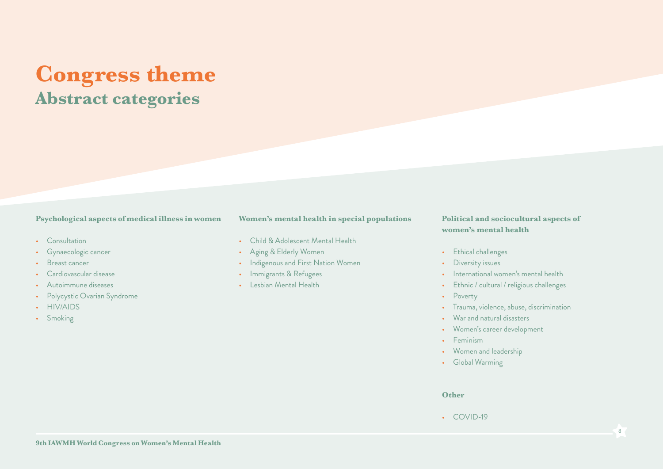## **Congress theme Abstract categories**

### **Psychological aspects of medical illness in women**

- Consultation
- Gynaecologic cancer
- Breast cancer
- Cardiovascular disease
- Autoimmune diseases
- Polycystic Ovarian Syndrome
- HIV/AIDS
- Smoking

## **Women's mental health in special populations**

- Child & Adolescent Mental Health
- Aging & Elderly Women
- Indigenous and First Nation Women
- Immigrants & Refugees
- Lesbian Mental Health

## **Political and sociocultural aspects of women's mental health**

- Ethical challenges
- Diversity issues
- International women's mental health
- Ethnic / cultural / religious challenges
- Poverty
- Trauma, violence, abuse, discrimination
- War and natural disasters
- Women's career development
- Feminism
- Women and leadership
- Global Warming

#### **Other**

• COVID-19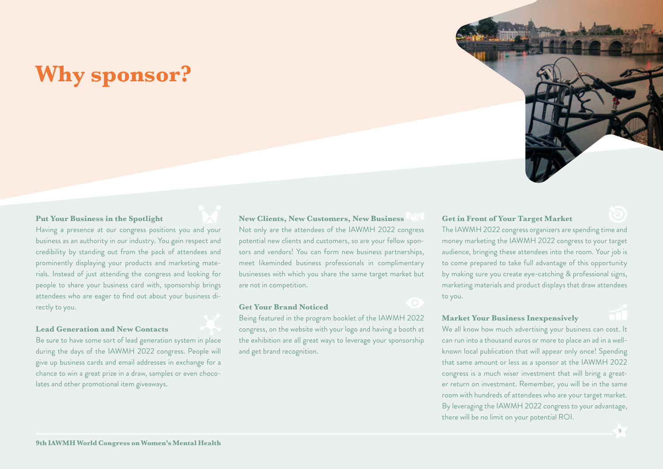## **Why sponsor?**



## **Put Your Business in the Spotlight**

Having a presence at our congress positions you and your business as an authority in our industry. You gain respect and credibility by standing out from the pack of attendees and prominently displaying your products and marketing materials. Instead of just attending the congress and looking for people to share your business card with, sponsorship brings attendees who are eager to find out about your business directly to you.

## **Lead Generation and New Contacts**

Be sure to have some sort of lead generation system in place during the days of the IAWMH 2022 congress. People will give up business cards and email addresses in exchange for a chance to win a great prize in a draw, samples or even chocolates and other promotional item giveaways.

## **New Clients, New Customers, New Business**

Not only are the attendees of the IAWMH 2022 congress potential new clients and customers, so are your fellow sponsors and vendors! You can form new business partnerships, meet likeminded business professionals in complimentary businesses with which you share the same target market but are not in competition.

#### **Get Your Brand Noticed**

Being featured in the program booklet of the IAWMH 2022 congress, on the website with your logo and having a booth at the exhibition are all great ways to leverage your sponsorship and get brand recognition.

## **Get in Front of Your Target Market**

The IAWMH 2022 congress organizers are spending time and money marketing the IAWMH 2022 congress to your target audience, bringing these attendees into the room. Your job is to come prepared to take full advantage of this opportunity by making sure you create eye-catching & professional signs, marketing materials and product displays that draw attendees to you.

## **Market Your Business Inexpensively**

We all know how much advertising your business can cost. It can run into a thousand euros or more to place an ad in a wellknown local publication that will appear only once! Spending that same amount or less as a sponsor at the IAWMH 2022 congress is a much wiser investment that will bring a greater return on investment. Remember, you will be in the same room with hundreds of attendees who are your target market. By leveraging the IAWMH 2022 congress to your advantage, there will be no limit on your potential ROI.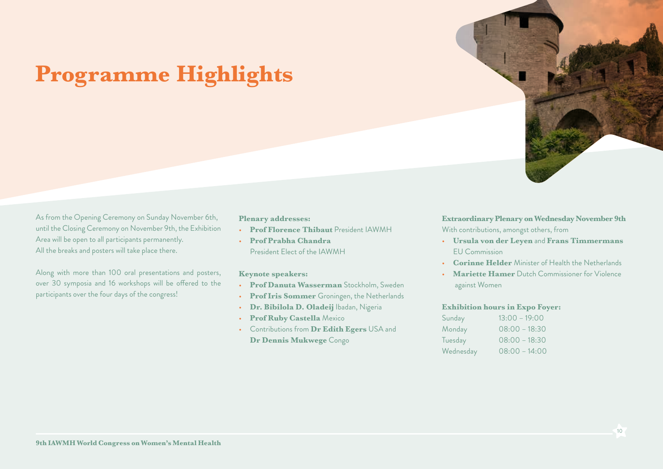

## **Programme Highlights**

As from the Opening Ceremony on Sunday November 6th, until the Closing Ceremony on November 9th, the Exhibition Area will be open to all participants permanently. All the breaks and posters will take place there.

Along with more than 100 oral presentations and posters, over 30 symposia and 16 workshops will be offered to the participants over the four days of the congress!

## **Plenary addresses:**

- **Prof Florence Thibaut** President IAWMH
- **Prof Prabha Chandra** President Elect of the IAWMH

## **Keynote speakers:**

- **Prof Danuta Wasserman** Stockholm, Sweden
- **Prof Iris Sommer** Groningen, the Netherlands
- **Dr. Bibilola D. Oladeij** Ibadan, Nigeria
- **Prof Ruby Castella** Mexico
- Contributions from **Dr Edith Egers** USA and **Dr Dennis Mukwege** Congo

**Extraordinary Plenary on Wednesday November 9th** With contributions, amongst others, from

- **Ursula von der Leyen** and **Frans Timmermans**  EU Commission
- **Corinne Helder** Minister of Health the Netherlands
- **Mariette Hamer** Dutch Commissioner for Violence against Women

## **Exhibition hours in Expo Foyer:**

| Sunday    | $13:00 - 19:00$ |
|-----------|-----------------|
| Monday    | $08:00 - 18:30$ |
| Tuesday   | $08:00 - 18:30$ |
| Wednesday | $08:00 - 14:00$ |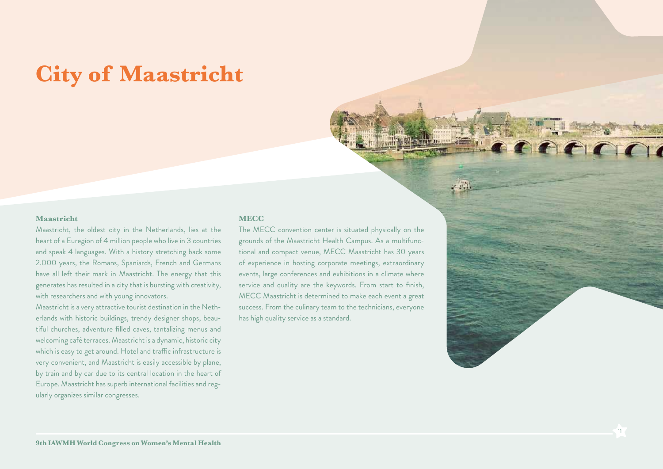## **City of Maastricht**

## **Maastricht**

Maastricht, the oldest city in the Netherlands, lies at the heart of a Euregion of 4 million people who live in 3 countries and speak 4 languages. With a history stretching back some 2.000 years, the Romans, Spaniards, French and Germans have all left their mark in Maastricht. The energy that this generates has resulted in a city that is bursting with creativity, with researchers and with young innovators.

Maastricht is a very attractive tourist destination in the Netherlands with historic buildings, trendy designer shops, beautiful churches, adventure filled caves, tantalizing menus and welcoming café terraces. Maastricht is a dynamic, historic city which is easy to get around. Hotel and traffic infrastructure is very convenient, and Maastricht is easily accessible by plane, by train and by car due to its central location in the heart of Europe. Maastricht has superb international facilities and regularly organizes similar congresses.

### **MECC**

The MECC convention center is situated physically on the grounds of the Maastricht Health Campus. As a multifunctional and compact venue, MECC Maastricht has 30 years of experience in hosting corporate meetings, extraordinary events, large conferences and exhibitions in a climate where service and quality are the keywords. From start to finish, MECC Maastricht is determined to make each event a great success. From the culinary team to the technicians, everyone has high quality service as a standard.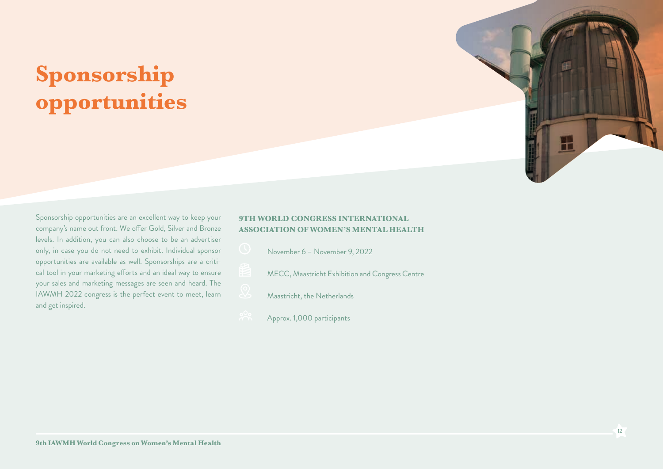## **Sponsorship opportunities**



Sponsorship opportunities are an excellent way to keep your company's name out front. We offer Gold, Silver and Bronze levels. In addition, you can also choose to be an advertiser only, in case you do not need to exhibit. Individual sponsor opportunities are available as well. Sponsorships are a critical tool in your marketing efforts and an ideal way to ensure your sales and marketing messages are seen and heard. The IAWMH 2022 congress is the perfect event to meet, learn and get inspired.

## **9TH WORLD CONGRESS INTERNATIONAL ASSOCIATION OF WOMEN'S MENTAL HEALTH**

- November 6 November 9, 2022
- MECC, Maastricht Exhibition and Congress Centre
- Maastricht, the Netherlands
- Approx. 1,000 participants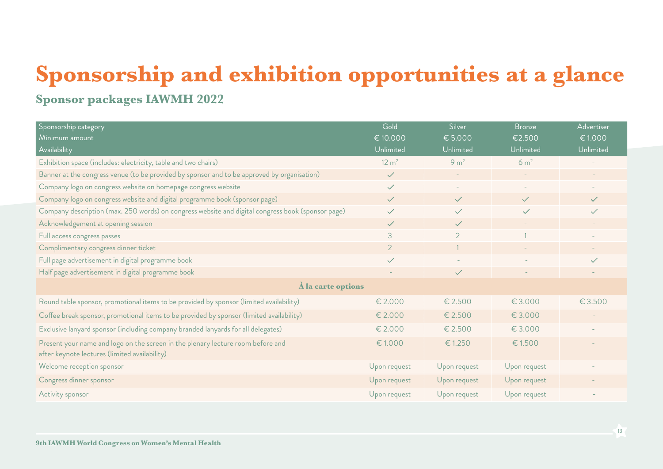## **Sponsorship and exhibition opportunities at a glance**

## **Sponsor packages IAWMH 2022**

| Sponsorship category                                                                                                             | Gold             | Silver           | <b>Bronze</b>    | Advertiser   |  |
|----------------------------------------------------------------------------------------------------------------------------------|------------------|------------------|------------------|--------------|--|
| Minimum amount                                                                                                                   | €10.000          | € 5.000          | €2.500           | € 1.000      |  |
| Availability                                                                                                                     | Unlimited        | Unlimited        | Unlimited        | Unlimited    |  |
| Exhibition space (includes: electricity, table and two chairs)                                                                   | $12 \text{ m}^2$ | 9 <sub>m²</sub>  | 6 m <sup>2</sup> |              |  |
| Banner at the congress venue (to be provided by sponsor and to be approved by organisation)                                      | $\checkmark$     |                  |                  |              |  |
| Company logo on congress website on homepage congress website                                                                    | $\checkmark$     |                  |                  |              |  |
| Company logo on congress website and digital programme book (sponsor page)                                                       | $\checkmark$     | $\checkmark$     | $\checkmark$     | $\checkmark$ |  |
| Company description (max. 250 words) on congress website and digital congress book (sponsor page)                                | $\checkmark$     | $\checkmark$     | $\checkmark$     | $\checkmark$ |  |
| Acknowledgement at opening session                                                                                               | $\checkmark$     | $\checkmark$     |                  |              |  |
| Full access congress passes                                                                                                      | $\overline{3}$   | $\overline{2}$   |                  |              |  |
| Complimentary congress dinner ticket                                                                                             | $\overline{2}$   |                  |                  |              |  |
| Full page advertisement in digital programme book                                                                                | $\checkmark$     |                  |                  | $\checkmark$ |  |
| Half page advertisement in digital programme book                                                                                |                  | $\checkmark$     |                  |              |  |
| À la carte options                                                                                                               |                  |                  |                  |              |  |
| Round table sponsor, promotional items to be provided by sponsor (limited availability)                                          | $\epsilon$ 2.000 | € 2.500          | € 3.000          | € 3.500      |  |
| Coffee break sponsor, promotional items to be provided by sponsor (limited availability)                                         | € 2.000          | € 2.500          | € 3.000          |              |  |
| Exclusive lanyard sponsor (including company branded lanyards for all delegates)                                                 | $\epsilon$ 2.000 | $\epsilon$ 2.500 | € 3.000          |              |  |
| Present your name and logo on the screen in the plenary lecture room before and<br>after keynote lectures (limited availability) | €1.000           | €1.250           | € 1.500          |              |  |
| Welcome reception sponsor                                                                                                        | Upon request     | Upon request     | Upon request     |              |  |
| Congress dinner sponsor                                                                                                          | Upon request     | Upon request     | Upon request     |              |  |
| Activity sponsor                                                                                                                 | Upon request     | Upon request     | Upon request     |              |  |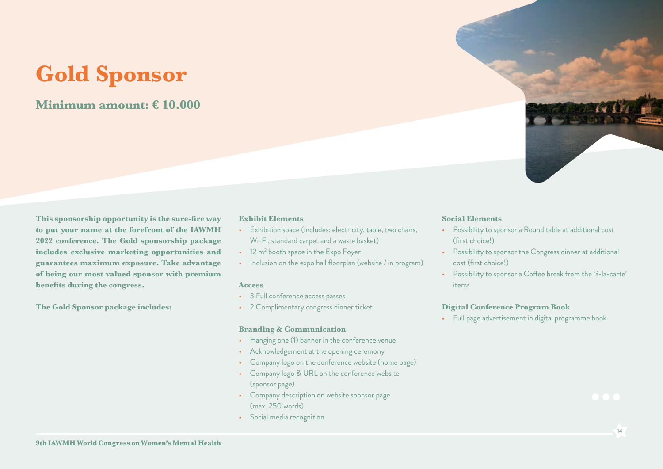## **Gold Sponsor**

## **Minimum amount: € 10.000**

**This sponsorship opportunity is the sure-fire way to put your name at the forefront of the IAWMH 2022 conference. The Gold sponsorship package includes exclusive marketing opportunities and guarantees maximum exposure. Take advantage of being our most valued sponsor with premium benefits during the congress.** 

**The Gold Sponsor package includes:**

### **Exhibit Elements**

- Exhibition space (includes: electricity, table, two chairs, Wi-Fi, standard carpet and a waste basket)
- $\bullet$   $\,$  12 m $^2$  booth space in the Expo Foyer
- Inclusion on the expo hall floorplan (website / in program)

### **Access**

- 3 Full conference access passes
- 2 Complimentary congress dinner ticket

## **Branding & Communication**

- Hanging one (1) banner in the conference venue
- Acknowledgement at the opening ceremony
- Company logo on the conference website (home page)
- Company logo & URL on the conference website (sponsor page)
- Company description on website sponsor page (max. 250 words)
- Social media recognition

### **Social Elements**

- Possibility to sponsor a Round table at additional cost (first choice!)
- Possibility to sponsor the Congress dinner at additional cost (first choice!)
- Possibility to sponsor a Coffee break from the 'à-la-carte' items

## **Digital Conference Program Book**

• Full page advertisement in digital programme book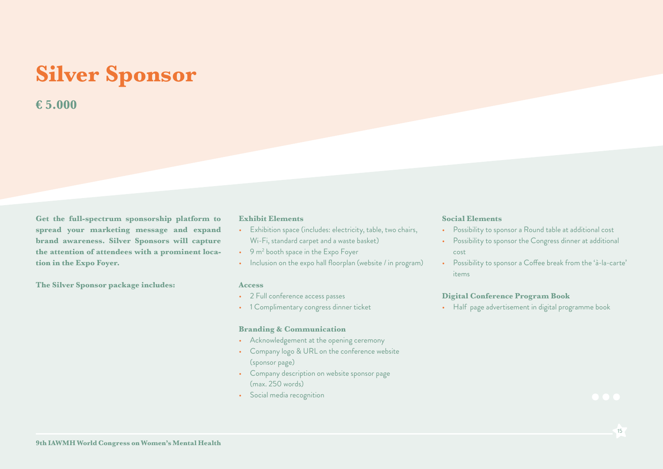## **Silver Sponsor**

## **€ 5.000**

**Get the full-spectrum sponsorship platform to spread your marketing message and expand brand awareness. Silver Sponsors will capture the attention of attendees with a prominent location in the Expo Foyer.**

**The Silver Sponsor package includes:**

#### **Exhibit Elements**

- Exhibition space (includes: electricity, table, two chairs, Wi-Fi, standard carpet and a waste basket)
- $\bullet$   $\,$  9 m $^2$  booth space in the Expo Foyer
- Inclusion on the expo hall floorplan (website / in program)

### **Access**

- 2 Full conference access passes
- 1 Complimentary congress dinner ticket

## **Branding & Communication**

- Acknowledgement at the opening ceremony
- Company logo & URL on the conference website (sponsor page)
- Company description on website sponsor page (max. 250 words)
- Social media recognition

#### **Social Elements**

- Possibility to sponsor a Round table at additional cost
- Possibility to sponsor the Congress dinner at additional cost
- Possibility to sponsor a Coffee break from the 'à-la-carte' items

## **Digital Conference Program Book**

• Half page advertisement in digital programme book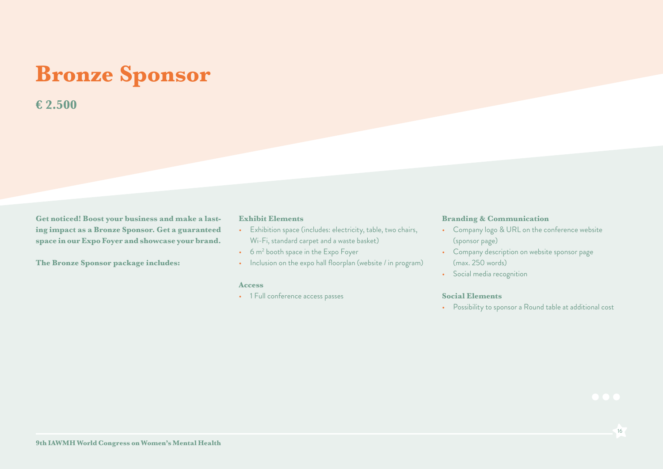## **Bronze Sponsor**

## **€ 2.500**

**Get noticed! Boost your business and make a lasting impact as a Bronze Sponsor. Get a guaranteed space in our Expo Foyer and showcase your brand.**

**The Bronze Sponsor package includes:**

### **Exhibit Elements**

- Exhibition space (includes: electricity, table, two chairs, Wi-Fi, standard carpet and a waste basket)
- $\bullet$  6 m $^2$  booth space in the Expo Foyer
- Inclusion on the expo hall floorplan (website / in program)

### **Access**

• 1 Full conference access passes

### **Branding & Communication**

- Company logo & URL on the conference website (sponsor page)
- Company description on website sponsor page (max. 250 words)
- Social media recognition

## **Social Elements**

• Possibility to sponsor a Round table at additional cost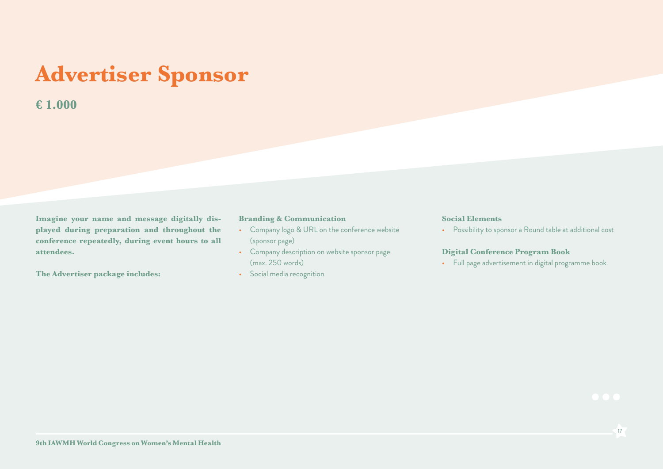## **Advertiser Sponsor**

## **€ 1.000**

**Imagine your name and message digitally displayed during preparation and throughout the conference repeatedly, during event hours to all attendees.** 

**The Advertiser package includes:**

### **Branding & Communication**

- Company logo & URL on the conference website (sponsor page)
- Company description on website sponsor page (max. 250 words)
- Social media recognition

### **Social Elements**

• Possibility to sponsor a Round table at additional cost

## **Digital Conference Program Book**

• Full page advertisement in digital programme book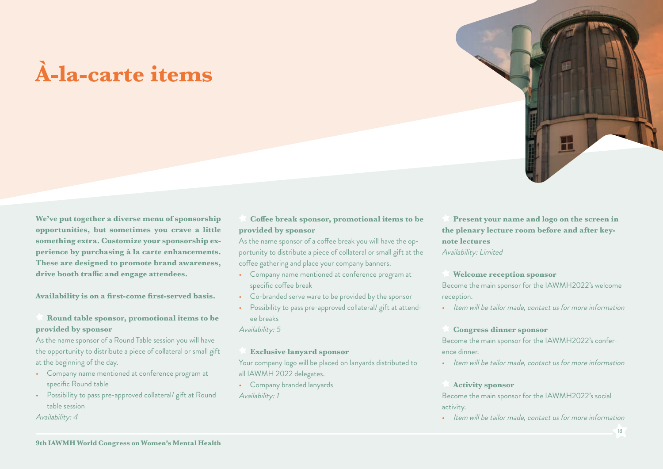## **À-la-carte items**

**We've put together a diverse menu of sponsorship opportunities, but sometimes you crave a little something extra. Customize your sponsorship experience by purchasing à la carte enhancements. These are designed to promote brand awareness, drive booth traffic and engage attendees.** 

**Availability is on a first-come first-served basis.**

## **Round table sponsor, promotional items to be provided by sponsor**

As the name sponsor of a Round Table session you will have the opportunity to distribute a piece of collateral or small gift at the beginning of the day.

- Company name mentioned at conference program at specific Round table
- Possibility to pass pre-approved collateral/ gift at Round table session

Availability: 4

## **Coffee break sponsor, promotional items to be provided by sponsor**

As the name sponsor of a coffee break you will have the opportunity to distribute a piece of collateral or small gift at the coffee gathering and place your company banners.

- Company name mentioned at conference program at specific coffee break
- Co-branded serve ware to be provided by the sponsor
- Possibility to pass pre-approved collateral/ gift at attendee breaks

Availability: 5

### **Exclusive lanyard sponsor**

Your company logo will be placed on lanyards distributed to all IAWMH 2022 delegates.

• Company branded lanyards Availability: 1

 **Present your name and logo on the screen in the plenary lecture room before and after keynote lectures** 

Availability: Limited

### **Welcome reception sponsor**

Become the main sponsor for the IAWMH2022's welcome reception.

• Item will be tailor made, contact us for more information

### **Congress dinner sponsor**

Become the main sponsor for the IAWMH2022's conference dinner.

• Item will be tailor made, contact us for more information

#### **Activity sponsor**

Become the main sponsor for the IAWMH2022's social activity.

• Item will be tailor made, contact us for more information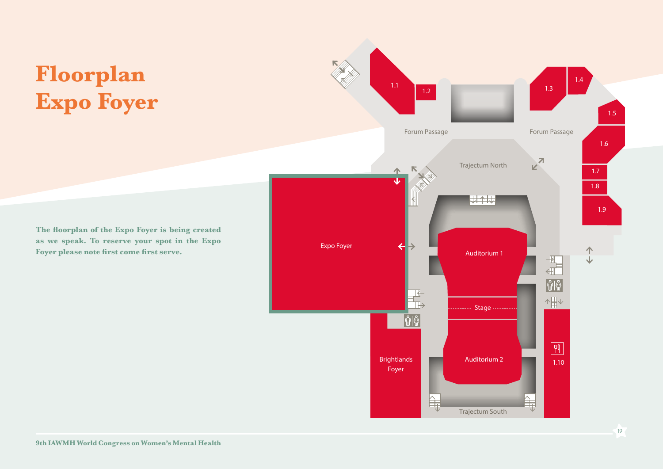## **Floorplan Expo Foyer**

1.4 1.1 1.2 **1.3** 1.3 1.5 Forum Passage **Forum Passage Forum Passage** 1.6  $K$ Trajectum North 1.7 1.8 はわし 1.9 Expo Foyer  $\frac{1}{1}$ Auditorium 1  $\begin{array}{c} \frac{1}{\sqrt{2}} \\ \frac{1}{\sqrt{2}} \end{array}$  $|\hat{\mathbb{U}}| \hat{\mathbb{V}}$  $\overline{\mathbb{F}}$ ↑ まし **Stage**  $|\mathbb{\hat{U}}|\mathbb{\hat{V}}|$  $\sqrt{4}$ Brightlands **Auditorium 2** 1.10 Foyer  $\mathbb{I}$  $\mathbb{H}$ Trajectum South

**The floorplan of the Expo Foyer is being created as we speak. To reserve your spot in the Expo Foyer please note first come first serve.**